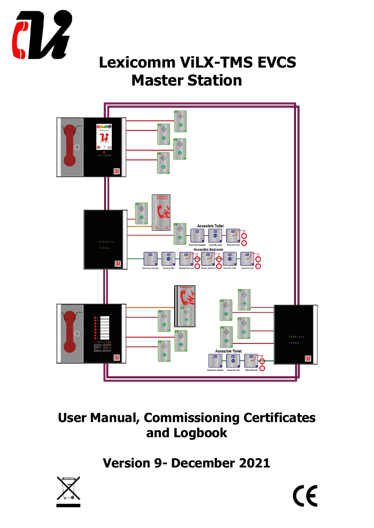

# **Lexicomm ViLX-TMS EVCS Master Station**



# **User Manual, Commissioning Certificates and Logbook**

**Version 9- December 2021**

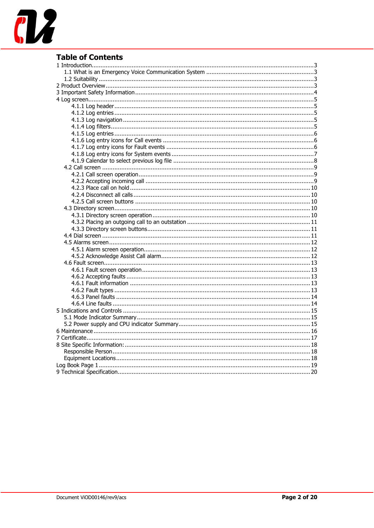

### **Table of Contents**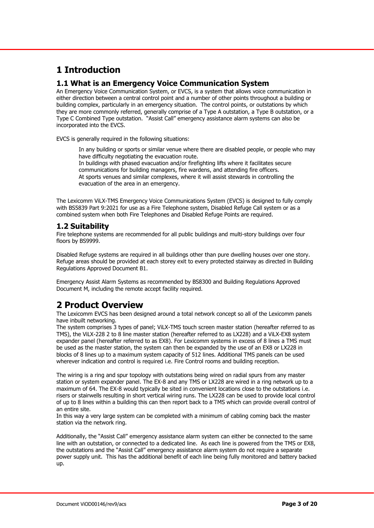### <span id="page-2-0"></span>**1 Introduction**

#### <span id="page-2-1"></span>**1.1 What is an Emergency Voice Communication System**

An Emergency Voice Communication System, or EVCS, is a system that allows voice communication in either direction between a central control point and a number of other points throughout a building or building complex, particularly in an emergency situation. The control points, or outstations by which they are more commonly referred, generally comprise of a Type A outstation, a Type B outstation, or a Type C Combined Type outstation. "Assist Call" emergency assistance alarm systems can also be incorporated into the EVCS.

EVCS is generally required in the following situations:

In any building or sports or similar venue where there are disabled people, or people who may have difficulty negotiating the evacuation route. In buildings with phased evacuation and/or firefighting lifts where it facilitates secure communications for building managers, fire wardens, and attending fire officers. At sports venues and similar complexes, where it will assist stewards in controlling the evacuation of the area in an emergency.

The Lexicomm ViLX-TMS Emergency Voice Communications System (EVCS) is designed to fully comply with BS5839 Part 9:2021 for use as a Fire Telephone system, Disabled Refuge Call system or as a combined system when both Fire Telephones and Disabled Refuge Points are required.

#### <span id="page-2-2"></span>**1.2 Suitability**

Fire telephone systems are recommended for all public buildings and multi-story buildings over four floors by BS9999.

Disabled Refuge systems are required in all buildings other than pure dwelling houses over one story. Refuge areas should be provided at each storey exit to every protected stairway as directed in Building Regulations Approved Document B1.

Emergency Assist Alarm Systems as recommended by BS8300 and Building Regulations Approved Document M, including the remote accept facility required.

### <span id="page-2-3"></span>**2 Product Overview**

The Lexicomm EVCS has been designed around a total network concept so all of the Lexicomm panels have inbuilt networking.

The system comprises 3 types of panel; ViLX-TMS touch screen master station (hereafter referred to as TMS), the ViLX-228 2 to 8 line master station (hereafter referred to as LX228) and a ViLX-EX8 system expander panel (hereafter referred to as EX8). For Lexicomm systems in excess of 8 lines a TMS must be used as the master station, the system can then be expanded by the use of an EX8 or LX228 in blocks of 8 lines up to a maximum system capacity of 512 lines. Additional TMS panels can be used wherever indication and control is required i.e. Fire Control rooms and building reception.

The wiring is a ring and spur topology with outstations being wired on radial spurs from any master station or system expander panel. The EX-8 and any TMS or LX228 are wired in a ring network up to a maximum of 64. The EX-8 would typically be sited in convenient locations close to the outstations i.e. risers or stairwells resulting in short vertical wiring runs. The LX228 can be used to provide local control of up to 8 lines within a building this can then report back to a TMS which can provide overall control of an entire site.

In this way a very large system can be completed with a minimum of cabling coming back the master station via the network ring.

Additionally, the "Assist Call" emergency assistance alarm system can either be connected to the same line with an outstation, or connected to a dedicated line. As each line is powered from the TMS or EX8, the outstations and the "Assist Call" emergency assistance alarm system do not require a separate power supply unit. This has the additional benefit of each line being fully monitored and battery backed up.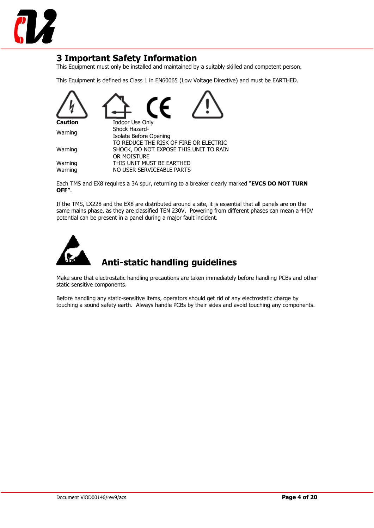

### <span id="page-3-0"></span>**3 Important Safety Information**

This Equipment must only be installed and maintained by a suitably skilled and competent person.

This Equipment is defined as Class 1 in EN60065 (Low Voltage Directive) and must be EARTHED.



Each TMS and EX8 requires a 3A spur, returning to a breaker clearly marked "**EVCS DO NOT TURN OFF"**.

If the TMS, LX228 and the EX8 are distributed around a site, it is essential that all panels are on the same mains phase, as they are classified TEN 230V. Powering from different phases can mean a 440V potential can be present in a panel during a major fault incident.



### **Anti-static handling guidelines**

Make sure that electrostatic handling precautions are taken immediately before handling PCBs and other static sensitive components.

Before handling any static-sensitive items, operators should get rid of any electrostatic charge by touching a sound safety earth. Always handle PCBs by their sides and avoid touching any components.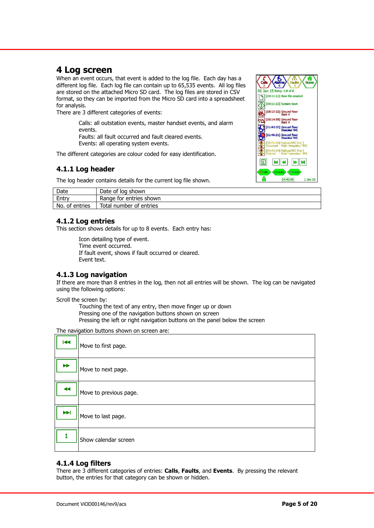### <span id="page-4-0"></span>**4 Log screen**

When an event occurs, that event is added to the log file. Each day has a different log file. Each log file can contain up to 65,535 events. All log files are stored on the attached Micro SD card. The log files are stored in CSV format, so they can be imported from the Micro SD card into a spreadsheet for analysis.

There are 3 different categories of events:

Calls: all outstation events, master handset events, and alarm events. Faults: all fault occurred and fault cleared events.

Events: all operating system events.

<span id="page-4-1"></span>The different categories are colour coded for easy identification.

#### **4.1.1 Log header**

The log header contains details for the current log file shown.



| Date           | Date of log shown       |
|----------------|-------------------------|
| Entry          | Range for entries shown |
| No. of entries | Total number of entries |

#### <span id="page-4-2"></span>**4.1.2 Log entries**

This section shows details for up to 8 events. Each entry has:

Icon detailing type of event. Time event occurred. If fault event, shows if fault occurred or cleared. Event text.

#### <span id="page-4-3"></span>**4.1.3 Log navigation**

If there are more than 8 entries in the log, then not all entries will be shown. The log can be navigated using the following options:

Scroll the screen by:

Touching the text of any entry, then move finger up or down Pressing one of the navigation buttons shown on screen Pressing the left or right navigation buttons on the panel below the screen

The navigation buttons shown on screen are:

| $\overline{144}$      | Move to first page.    |
|-----------------------|------------------------|
| $\blacktriangleright$ | Move to next page.     |
| $\blacktriangleleft$  | Move to previous page. |
| $\blacktriangleright$ | Move to last page.     |
|                       | Show calendar screen   |

#### <span id="page-4-4"></span>**4.1.4 Log filters**

There are 3 different categories of entries: **Calls**, **Faults**, and **Events**. By pressing the relevant button, the entries for that category can be shown or hidden.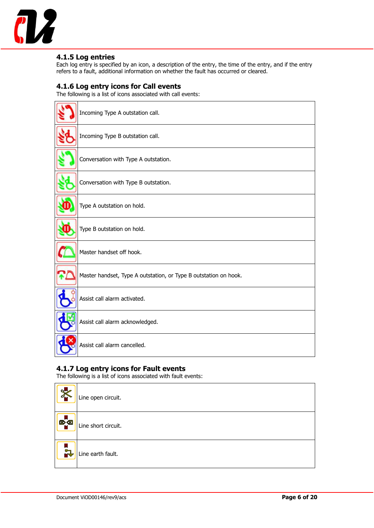

#### <span id="page-5-0"></span>**4.1.5 Log entries**

Each log entry is specified by an icon, a description of the entry, the time of the entry, and if the entry refers to a fault, additional information on whether the fault has occurred or cleared.

#### <span id="page-5-1"></span>**4.1.6 Log entry icons for Call events**

The following is a list of icons associated with call events:

| Incoming Type A outstation call.                                 |
|------------------------------------------------------------------|
| Incoming Type B outstation call.                                 |
| Conversation with Type A outstation.                             |
| Conversation with Type B outstation.                             |
| Type A outstation on hold.                                       |
| Type B outstation on hold.                                       |
| Master handset off hook.                                         |
| Master handset, Type A outstation, or Type B outstation on hook. |
| Assist call alarm activated.                                     |
| Assist call alarm acknowledged.                                  |
| Assist call alarm cancelled.                                     |

#### <span id="page-5-2"></span>**4.1.7 Log entry icons for Fault events**

The following is a list of icons associated with fault events:

| $\frac{1}{2}$    | Line open circuit.  |
|------------------|---------------------|
| <mark>図</mark> 图 | Line short circuit. |
| ≍                | Line earth fault.   |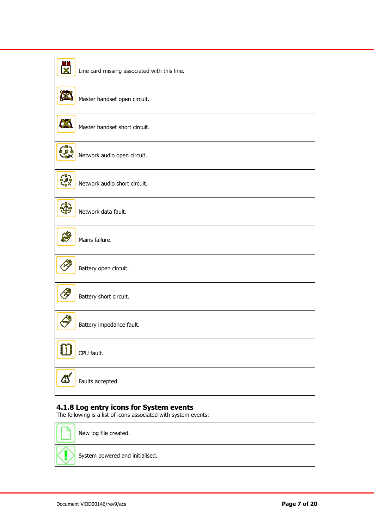|                                                                              | Line card missing associated with this line. |
|------------------------------------------------------------------------------|----------------------------------------------|
|                                                                              | Master handset open circuit.                 |
|                                                                              | Master handset short circuit.                |
| ∼'<br>بالم ف                                                                 | Network audio open circuit.                  |
| ۰,<br>ۈل <i>ۇ</i><br>Xa                                                      | Network audio short circuit.                 |
|                                                                              | Network data fault.                          |
|                                                                              | Mains failure.                               |
|                                                                              | Battery open circuit.                        |
|                                                                              | Battery short circuit.                       |
|                                                                              | Battery impedance fault.                     |
| $\begin{smallmatrix} \mathbf{0} \ \mathbf{0} \ \mathbf{0} \end{smallmatrix}$ | CPU fault.                                   |
| $\Delta$                                                                     | Faults accepted.                             |

#### <span id="page-6-0"></span>**4.1.8 Log entry icons for System events**

The following is a list of icons associated with system events:

| New log file created.           |
|---------------------------------|
| System powered and initialised. |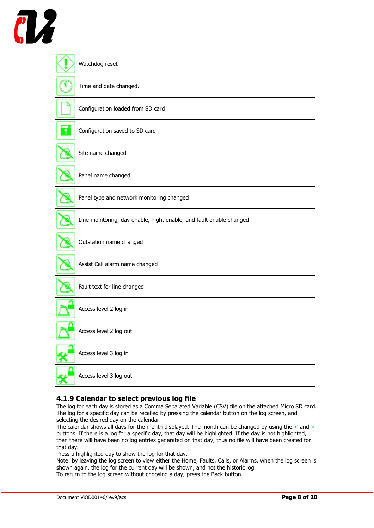

| Watchdog reset                                                      |
|---------------------------------------------------------------------|
| Time and date changed.                                              |
| Configuration loaded from SD card                                   |
| Configuration saved to SD card                                      |
| Site name changed                                                   |
| Panel name changed                                                  |
| Panel type and network monitoring changed                           |
| Line monitoring, day enable, night enable, and fault enable changed |
| Outstation name changed                                             |
| Assist Call alarm name changed                                      |
| Fault text for line changed                                         |
| Access level 2 log in                                               |
| Access level 2 log out                                              |
| Access level 3 log in                                               |
| Access level 3 log out                                              |

#### <span id="page-7-0"></span>**4.1.9 Calendar to select previous log file**

The log for each day is stored as a Comma Separated Variable (CSV) file on the attached Micro SD card. The log for a specific day can be recalled by pressing the calendar button on the log screen, and selecting the desired day on the calendar.

The calendar shows all days for the month displayed. The month can be changed by using the  $\leq$  and  $>$ buttons. If there is a log for a specific day, that day will be highlighted. If the day is not highlighted, then there will have been no log entries generated on that day, thus no file will have been created for that day.

Press a highlighted day to show the log for that day.

Note: by leaving the log screen to view either the Home, Faults, Calls, or Alarms, when the log screen is shown again, the log for the current day will be shown, and not the historic log.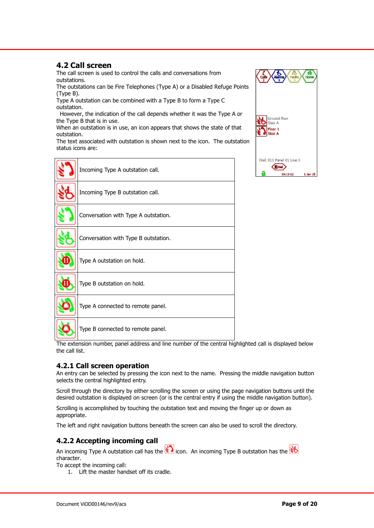#### <span id="page-8-0"></span>**4.2 Call screen**

The call screen is used to control the calls and conversations from outstations.

The outstations can be Fire Telephones (Type A) or a Disabled Refuge Points (Type B).

Type A outstation can be combined with a Type B to form a Type C outstation.

 However, the indication of the call depends whether it was the Type A or the Type B that is in use.

When an outstation is in use, an icon appears that shows the state of that outstation.

The text associated with outstation is shown next to the icon. The outstation status icons are:

| Incoming Type A outstation call.     |
|--------------------------------------|
| Incoming Type B outstation call.     |
| Conversation with Type A outstation. |
| Conversation with Type B outstation. |
| Type A outstation on hold.           |
| Type B outstation on hold.           |
| Type A connected to remote panel.    |
| Type B connected to remote panel.    |

The extension number, panel address and line number of the central highlighted call is displayed below the call list.

#### <span id="page-8-1"></span>**4.2.1 Call screen operation**

An entry can be selected by pressing the icon next to the name. Pressing the middle navigation button selects the central highlighted entry.

Scroll through the directory by either scrolling the screen or using the page navigation buttons until the desired outstation is displayed on screen (or is the central entry if using the middle navigation button).

Scrolling is accomplished by touching the outstation text and moving the finger up or down as appropriate.

The left and right navigation buttons beneath the screen can also be used to scroll the directory.

#### <span id="page-8-2"></span>**4.2.2 Accepting incoming call**

An incoming Type A outstation call has the  $\mathcal{L}$  icon. An incoming Type B outstation has the  $\mathcal{L}$ character.

To accept the incoming call:

1. Lift the master handset off its cradle.

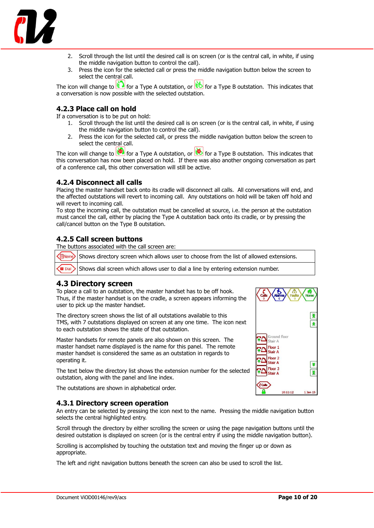

- 2. Scroll through the list until the desired call is on screen (or is the central call, in white, if using the middle navigation button to control the call).
- 3. Press the icon for the selected call or press the middle navigation button below the screen to select the central call.

The icon will change to  $\leq 1$  for a Type A outstation, or  $\leq 1$  for a Type B outstation. This indicates that a conversation is now possible with the selected outstation.

#### <span id="page-9-0"></span>**4.2.3 Place call on hold**

If a conversation is to be put on hold:

- 1. Scroll through the list until the desired call is on screen (or is the central call, in white, if using the middle navigation button to control the call).
- 2. Press the icon for the selected call, or press the middle navigation button below the screen to select the central call.

The icon will change to  $\circledcirc$  for a Type A outstation, or  $\circledcirc$  for a Type B outstation. This indicates that this conversation has now been placed on hold. If there was also another ongoing conversation as part of a conference call, this other conversation will still be active.

#### <span id="page-9-1"></span>**4.2.4 Disconnect all calls**

Placing the master handset back onto its cradle will disconnect all calls. All conversations will end, and the affected outstations will revert to incoming call. Any outstations on hold will be taken off hold and will revert to incoming call.

To stop the incoming call, the outstation must be cancelled at source, i.e. the person at the outstation must cancel the call, either by placing the Type A outstation back onto its cradle, or by pressing the call/cancel button on the Type B outstation.

#### <span id="page-9-2"></span>**4.2.5 Call screen buttons**

The buttons associated with the call screen are:

ENam Shows directory screen which allows user to choose from the list of allowed extensions.

**Dial** Shows dial screen which allows user to dial a line by entering extension number.

#### <span id="page-9-3"></span>**4.3 Directory screen**

To place a call to an outstation, the master handset has to be off hook. Thus, if the master handset is on the cradle, a screen appears informing the user to pick up the master handset.

The directory screen shows the list of all outstations available to this TMS, with 7 outstations displayed on screen at any one time. The icon next to each outstation shows the state of that outstation.

Master handsets for remote panels are also shown on this screen. The master handset name displayed is the name for this panel. The remote master handset is considered the same as an outstation in regards to operating it.

The text below the directory list shows the extension number for the selected outstation, along with the panel and line index.

The outstations are shown in alphabetical order.

#### <span id="page-9-4"></span>**4.3.1 Directory screen operation**

An entry can be selected by pressing the icon next to the name. Pressing the middle navigation button selects the central highlighted entry.

Scroll through the directory by either scrolling the screen or using the page navigation buttons until the desired outstation is displayed on screen (or is the central entry if using the middle navigation button).

Scrolling is accomplished by touching the outstation text and moving the finger up or down as appropriate.

The left and right navigation buttons beneath the screen can also be used to scroll the list.

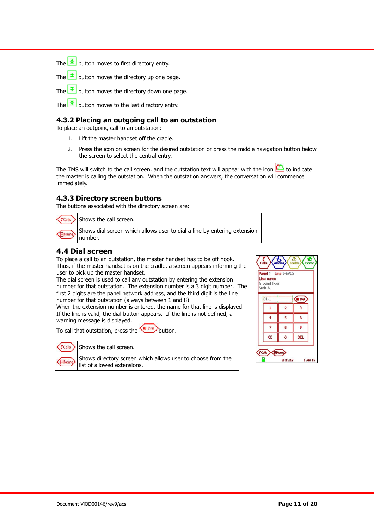The  $\bar{\mathbf{z}}$  button moves to first directory entry.

The  $\Box$  button moves the directory up one page.

The  $\blacktriangleright$  button moves the directory down one page.

The  $\mathbf{E}$  button moves to the last directory entry.

#### <span id="page-10-0"></span>**4.3.2 Placing an outgoing call to an outstation**

To place an outgoing call to an outstation:

- 1. Lift the master handset off the cradle.
- 2. Press the icon on screen for the desired outstation or press the middle navigation button below the screen to select the central entry.

The TMS will switch to the call screen, and the outstation text will appear with the icon  $\Box$  to indicate the master is calling the outstation. When the outstation answers, the conversation will commence immediately.

#### <span id="page-10-1"></span>**4.3.3 Directory screen buttons**

The buttons associated with the directory screen are:

| $\left\langle \text{Calls} \right\rangle$ Shows the call screen. |
|------------------------------------------------------------------|
| Shows dial screen which                                          |

Shows dial screen which allows user to dial a line by entering extension number.

#### <span id="page-10-2"></span>**4.4 Dial screen**

To place a call to an outstation, the master handset has to be off hook. Thus, if the master handset is on the cradle, a screen appears informing the user to pick up the master handset.

The dial screen is used to call any outstation by entering the extension number for that outstation. The extension number is a 3 digit number. The first 2 digits are the panel network address, and the third digit is the line number for that outstation (always between 1 and 8)

When the extension number is entered, the name for that line is displayed. If the line is valid, the dial button appears. If the line is not defined, a warning message is displayed.

To call that outstation, press the  $\overline{\text{C}^{\text{Dial}}}$  button.



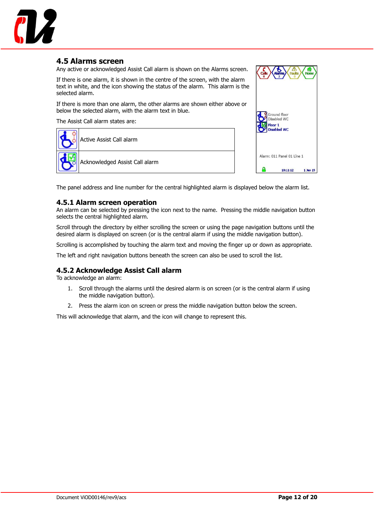

#### <span id="page-11-0"></span>**4.5 Alarms screen**

**Ground floor** Disabled WC Alarm: 011 Panel 01 Line 1  $10:11:12$ 1 Jan 15

Any active or acknowledged Assist Call alarm is shown on the Alarms screen.

If there is one alarm, it is shown in the centre of the screen, with the alarm text in white, and the icon showing the status of the alarm. This alarm is the selected alarm.

If there is more than one alarm, the other alarms are shown either above or below the selected alarm, with the alarm text in blue.

The Assist Call alarm states are:



The panel address and line number for the central highlighted alarm is displayed below the alarm list.

#### <span id="page-11-1"></span>**4.5.1 Alarm screen operation**

An alarm can be selected by pressing the icon next to the name. Pressing the middle navigation button selects the central highlighted alarm.

Scroll through the directory by either scrolling the screen or using the page navigation buttons until the desired alarm is displayed on screen (or is the central alarm if using the middle navigation button).

Scrolling is accomplished by touching the alarm text and moving the finger up or down as appropriate.

The left and right navigation buttons beneath the screen can also be used to scroll the list.

#### <span id="page-11-2"></span>**4.5.2 Acknowledge Assist Call alarm**

To acknowledge an alarm:

- 1. Scroll through the alarms until the desired alarm is on screen (or is the central alarm if using the middle navigation button).
- 2. Press the alarm icon on screen or press the middle navigation button below the screen.

This will acknowledge that alarm, and the icon will change to represent this.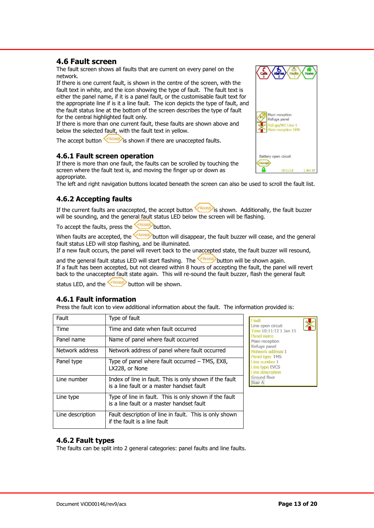<span id="page-12-4"></span>**4.6.2 Fault types**

#### <span id="page-12-0"></span>**4.6 Fault screen**

The fault screen shows all faults that are current on every panel on the network.

If there is one current fault, is shown in the centre of the screen, with the fault text in white, and the icon showing the type of fault. The fault text is either the panel name, if it is a panel fault, or the customisable fault text for the appropriate line if is it a line fault. The icon depicts the type of fault, and the fault status line at the bottom of the screen describes the type of fault for the central highlighted fault only.

If there is more than one current fault, these faults are shown above and below the selected fault, with the fault text in yellow.

<span id="page-12-1"></span>The accept button  $\frac{1}{2}$  is shown if there are unaccepted faults.

#### **4.6.1 Fault screen operation**

If there is more than one fault, the faults can be scrolled by touching the screen where the fault text is, and moving the finger up or down as appropriate.

<span id="page-12-2"></span>The left and right navigation buttons located beneath the screen can also be used to scroll the fault list.

#### **4.6.2 Accepting faults**

If the current faults are unaccepted, the accept button  $\sqrt{\text{Accept}}$  is shown. Additionally, the fault buzzer will be sounding, and the general fault status LED below the screen will be flashing.

To accept the faults, press the  $\sqrt{\text{Accept}}$  button.

When faults are accepted, the **button will disappear, the fault buzzer will cease, and the general** fault status LED will stop flashing, and be illuminated.

If a new fault occurs, the panel will revert back to the unaccepted state, the fault buzzer will resound,

and the general fault status LED will start flashing. The **CACCEPO** button will be shown again. If a fault has been accepted, but not cleared within 8 hours of accepting the fault, the panel will revert back to the unaccepted fault state again. This will re-sound the fault buzzer, flash the general fault

<span id="page-12-3"></span>status LED, and the  $\bigotimes^{\text{Accept}}$  button will be shown.

#### **4.6.1 Fault information**

Press the fault icon to view additional information about the fault. The information provided is:

| Fault            | Type of fault                                                                                        |
|------------------|------------------------------------------------------------------------------------------------------|
| Time             | Time and date when fault occurred                                                                    |
| Panel name       | Name of panel where fault occurred                                                                   |
| Network address  | Network address of panel where fault occurred                                                        |
| Panel type       | Type of panel where fault occurred – TMS, EX8,<br>LX228, or None                                     |
| Line number      | Index of line in fault. This is only shown if the fault<br>is a line fault or a master handset fault |
| Line type        | Type of line in fault. This is only shown if the fault<br>is a line fault or a master handset fault  |
| Line description | Fault description of line in fault. This is only shown<br>if the fault is a line fault               |

The faults can be split into 2 general categories: panel faults and line faults.

#### Line open circuit Time 10:11:12 1 Jan 15 Panel name Main reception Refuge panel Network address 1 Panel type TMS Line number 1 Line type EVCS Line description Ground floor Stair A











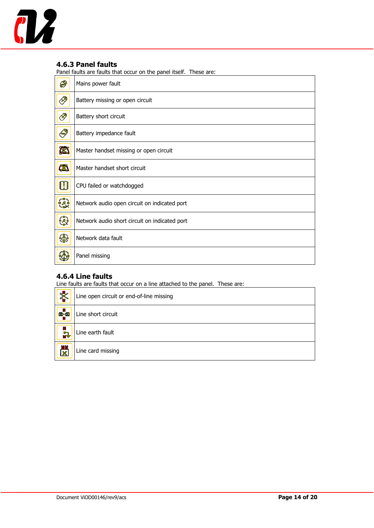

#### <span id="page-13-0"></span>**4.6.3 Panel faults**

Panel faults are faults that occur on the panel itself. These are:

| Ø              | Mains power fault                             |
|----------------|-----------------------------------------------|
| $\mathscr{B}$  | Battery missing or open circuit               |
| $\mathscr{B}$  | Battery short circuit                         |
| <b>AND</b>     | Battery impedance fault                       |
| X              | Master handset missing or open circuit        |
| 63             | Master handset short circuit                  |
| $\bf{C}$       | CPU failed or watchdogged                     |
| $\mathbb{C}^3$ | Network audio open circuit on indicated port  |
| $\mathcal{L}$  | Network audio short circuit on indicated port |
| 4              | Network data fault                            |
|                | Panel missing                                 |

#### <span id="page-13-1"></span>**4.6.4 Line faults**

Line faults are faults that occur on a line attached to the panel. These are:

| $\overline{\mathbf{X}}$      | Line open circuit or end-of-line missing |
|------------------------------|------------------------------------------|
| <b>B</b>                     | Line short circuit                       |
| i<br>R                       | Line earth fault                         |
| m<br>$\overline{\mathbf{x}}$ | Line card missing                        |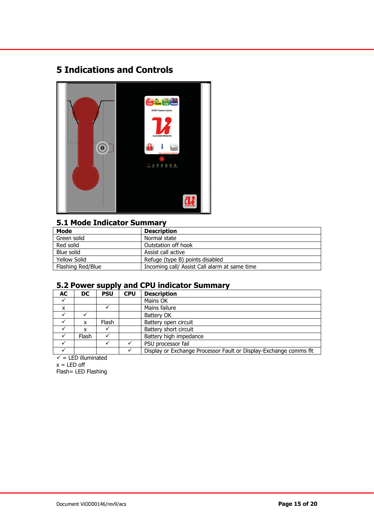### <span id="page-14-0"></span>**5 Indications and Controls**



#### <span id="page-14-1"></span>**5.1 Mode Indicator Summary**

| Mode                | <b>Description</b>                            |  |  |
|---------------------|-----------------------------------------------|--|--|
| Green solid         | Normal state                                  |  |  |
| Red solid           | Outstation off hook                           |  |  |
| Blue solid          | Assist call active                            |  |  |
| <b>Yellow Solid</b> | Refuge (type B) points disabled               |  |  |
| Flashing Red/Blue   | Incoming call/ Assist Call alarm at same time |  |  |

#### <span id="page-14-2"></span>**5.2 Power supply and CPU indicator Summary**

| DC.   | <b>PSU</b> | <b>CPU</b> | <b>Description</b>                                                |
|-------|------------|------------|-------------------------------------------------------------------|
|       |            |            | Mains OK                                                          |
|       |            |            | Mains failure                                                     |
|       |            |            | Battery OK                                                        |
| x     | Flash      |            | Battery open circuit                                              |
| x     |            |            | Battery short circuit                                             |
| Flash |            |            | Battery high impedance                                            |
|       |            |            | PSU processor fail                                                |
|       |            |            | Display or Exchange Processor Fault or Display-Exchange comms flt |
|       |            |            |                                                                   |

 $\checkmark$  = LED illuminated  $x = LED$  off

Flash= LED Flashing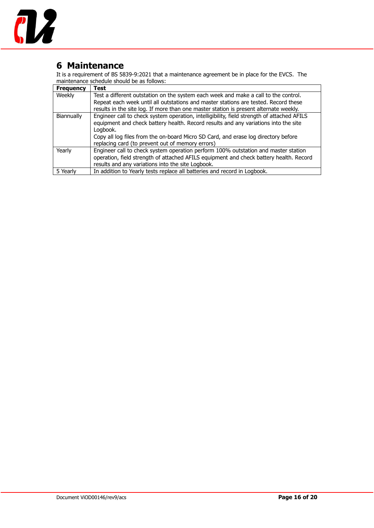

### <span id="page-15-0"></span>**6 Maintenance**

It is a requirement of BS 5839-9:2021 that a maintenance agreement be in place for the EVCS. The maintenance schedule should be as follows:

| <b>Frequency</b>                                                                                         | <b>Test</b>                                                                            |  |
|----------------------------------------------------------------------------------------------------------|----------------------------------------------------------------------------------------|--|
| Weekly                                                                                                   | Test a different outstation on the system each week and make a call to the control.    |  |
|                                                                                                          | Repeat each week until all outstations and master stations are tested. Record these    |  |
|                                                                                                          | results in the site log. If more than one master station is present alternate weekly.  |  |
| Engineer call to check system operation, intelligibility, field strength of attached AFILS<br>Biannually |                                                                                        |  |
|                                                                                                          | equipment and check battery health. Record results and any variations into the site    |  |
|                                                                                                          | Loabook.                                                                               |  |
|                                                                                                          | Copy all log files from the on-board Micro SD Card, and erase log directory before     |  |
|                                                                                                          | replacing card (to prevent out of memory errors)                                       |  |
| Yearly                                                                                                   | Engineer call to check system operation perform 100% outstation and master station     |  |
|                                                                                                          | operation, field strength of attached AFILS equipment and check battery health. Record |  |
|                                                                                                          | results and any variations into the site Logbook.                                      |  |
| 5 Yearly                                                                                                 | In addition to Yearly tests replace all batteries and record in Logbook.               |  |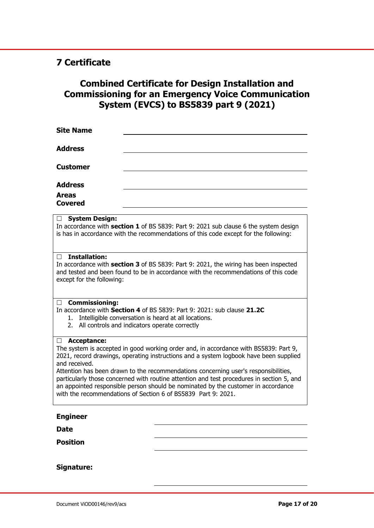### <span id="page-16-0"></span>**7 Certificate**

### **Combined Certificate for Design Installation and Commissioning for an Emergency Voice Communication System (EVCS) to BS5839 part 9 (2021)**

| <b>Site Name</b>                                                                                                                                                                                                                                                                                                                                                                                                                                                                                                                                                  |  |  |  |
|-------------------------------------------------------------------------------------------------------------------------------------------------------------------------------------------------------------------------------------------------------------------------------------------------------------------------------------------------------------------------------------------------------------------------------------------------------------------------------------------------------------------------------------------------------------------|--|--|--|
| <b>Address</b>                                                                                                                                                                                                                                                                                                                                                                                                                                                                                                                                                    |  |  |  |
| <b>Customer</b>                                                                                                                                                                                                                                                                                                                                                                                                                                                                                                                                                   |  |  |  |
| <b>Address</b>                                                                                                                                                                                                                                                                                                                                                                                                                                                                                                                                                    |  |  |  |
| <b>Areas</b><br><b>Covered</b>                                                                                                                                                                                                                                                                                                                                                                                                                                                                                                                                    |  |  |  |
| <b>System Design:</b><br>$\Box$<br>In accordance with section 1 of BS 5839: Part 9: 2021 sub clause 6 the system design<br>is has in accordance with the recommendations of this code except for the following:                                                                                                                                                                                                                                                                                                                                                   |  |  |  |
| <b>Installation:</b><br>П<br>In accordance with section 3 of BS 5839: Part 9: 2021, the wiring has been inspected<br>and tested and been found to be in accordance with the recommendations of this code<br>except for the following:                                                                                                                                                                                                                                                                                                                             |  |  |  |
| <b>Commissioning:</b><br>$\Box$<br>In accordance with Section 4 of BS 5839: Part 9: 2021: sub clause 21.2C<br>Intelligible conversation is heard at all locations.<br>1.<br>2. All controls and indicators operate correctly                                                                                                                                                                                                                                                                                                                                      |  |  |  |
| Acceptance:<br>$\Box$<br>The system is accepted in good working order and, in accordance with BS5839: Part 9,<br>2021, record drawings, operating instructions and a system logbook have been supplied<br>and received.<br>Attention has been drawn to the recommendations concerning user's responsibilities,<br>particularly those concerned with routine attention and test procedures in section 5, and<br>an appointed responsible person should be nominated by the customer in accordance<br>with the recommendations of Section 6 of BS5839 Part 9: 2021. |  |  |  |
| <b>Engineer</b>                                                                                                                                                                                                                                                                                                                                                                                                                                                                                                                                                   |  |  |  |
| <b>Date</b>                                                                                                                                                                                                                                                                                                                                                                                                                                                                                                                                                       |  |  |  |
| <b>Position</b>                                                                                                                                                                                                                                                                                                                                                                                                                                                                                                                                                   |  |  |  |
| Signature:                                                                                                                                                                                                                                                                                                                                                                                                                                                                                                                                                        |  |  |  |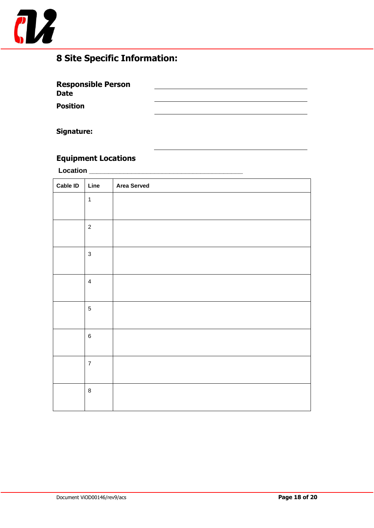

### <span id="page-17-0"></span>**8 Site Specific Information:**

<span id="page-17-1"></span>

| <b>Responsible Person</b><br><b>Date</b> |  |
|------------------------------------------|--|
| <b>Position</b>                          |  |

#### **Signature:**

### <span id="page-17-2"></span>**Equipment Locations**

**Location \_\_\_\_\_\_\_\_\_\_\_\_\_\_\_\_\_\_\_\_\_\_\_\_\_\_\_\_\_\_\_\_\_\_\_\_\_\_\_\_**

| <b>Cable ID</b> | Line           | <b>Area Served</b> |
|-----------------|----------------|--------------------|
|                 | $\mathbf{1}$   |                    |
|                 |                |                    |
|                 | $\sqrt{2}$     |                    |
|                 |                |                    |
|                 | $\mathbf{3}$   |                    |
|                 |                |                    |
|                 | $\overline{4}$ |                    |
|                 |                |                    |
|                 | $\sqrt{5}$     |                    |
|                 |                |                    |
|                 | $\,6\,$        |                    |
|                 |                |                    |
|                 | $\overline{7}$ |                    |
|                 |                |                    |
|                 | $\bf 8$        |                    |
|                 |                |                    |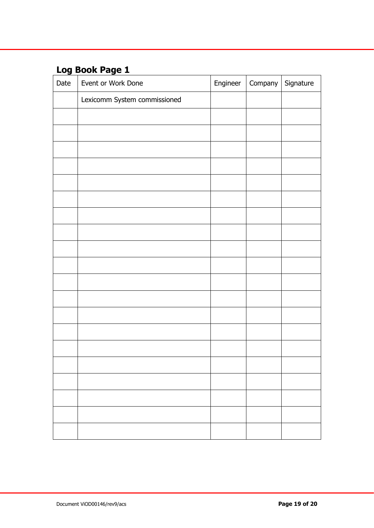## <span id="page-18-0"></span>**Log Book Page 1**

| Date | Event or Work Done           | Engineer | Company Signature |
|------|------------------------------|----------|-------------------|
|      | Lexicomm System commissioned |          |                   |
|      |                              |          |                   |
|      |                              |          |                   |
|      |                              |          |                   |
|      |                              |          |                   |
|      |                              |          |                   |
|      |                              |          |                   |
|      |                              |          |                   |
|      |                              |          |                   |
|      |                              |          |                   |
|      |                              |          |                   |
|      |                              |          |                   |
|      |                              |          |                   |
|      |                              |          |                   |
|      |                              |          |                   |
|      |                              |          |                   |
|      |                              |          |                   |
|      |                              |          |                   |
|      |                              |          |                   |
|      |                              |          |                   |
|      |                              |          |                   |